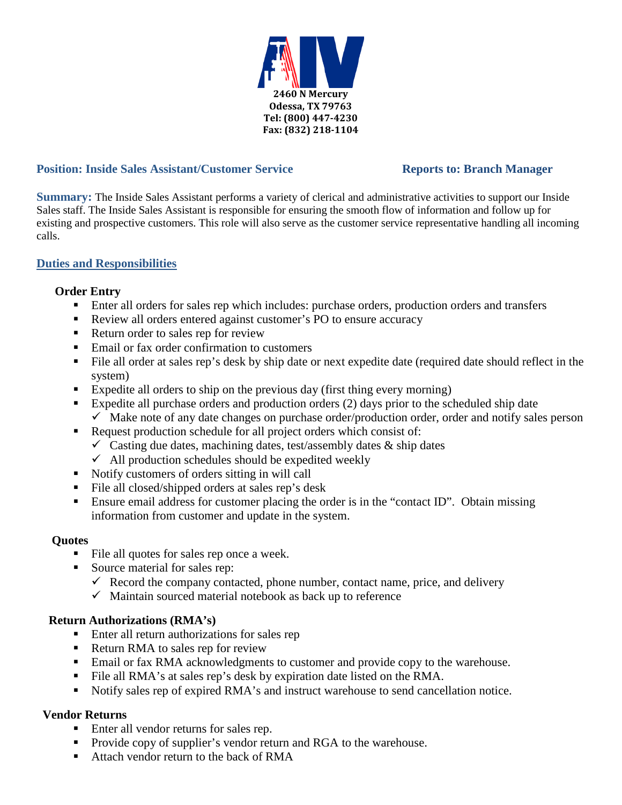

## **Position: Inside Sales Assistant/Customer Service Reports to: Branch Manager**

**Summary:** The Inside Sales Assistant performs a variety of clerical and administrative activities to support our Inside Sales staff. The Inside Sales Assistant is responsible for ensuring the smooth flow of information and follow up for existing and prospective customers. This role will also serve as the customer service representative handling all incoming calls.

# **Duties and Responsibilities**

### **Order Entry**

- Enter all orders for sales rep which includes: purchase orders, production orders and transfers
- Review all orders entered against customer's PO to ensure accuracy
- Return order to sales rep for review
- Email or fax order confirmation to customers
- File all order at sales rep's desk by ship date or next expedite date (required date should reflect in the system)
- Expedite all orders to ship on the previous day (first thing every morning)
- Expedite all purchase orders and production orders  $(2)$  days prior to the scheduled ship date  $\checkmark$  Make note of any date changes on purchase order/production order, order and notify sales person
- Request production schedule for all project orders which consist of:
	- $\checkmark$  Casting due dates, machining dates, test/assembly dates & ship dates
	- $\checkmark$  All production schedules should be expedited weekly
- Notify customers of orders sitting in will call
- File all closed/shipped orders at sales rep's desk
- Ensure email address for customer placing the order is in the "contact ID". Obtain missing information from customer and update in the system.

### **Quotes**

- File all quotes for sales rep once a week.
- Source material for sales rep:
	- $\checkmark$  Record the company contacted, phone number, contact name, price, and delivery
	- $\checkmark$  Maintain sourced material notebook as back up to reference

### **Return Authorizations (RMA's)**

- Enter all return authorizations for sales rep
- Return RMA to sales rep for review
- Email or fax RMA acknowledgments to customer and provide copy to the warehouse.
- File all RMA's at sales rep's desk by expiration date listed on the RMA.
- Notify sales rep of expired RMA's and instruct warehouse to send cancellation notice.

### **Vendor Returns**

- Enter all vendor returns for sales rep.
- **Provide copy of supplier's vendor return and RGA to the warehouse.**
- Attach vendor return to the back of RMA